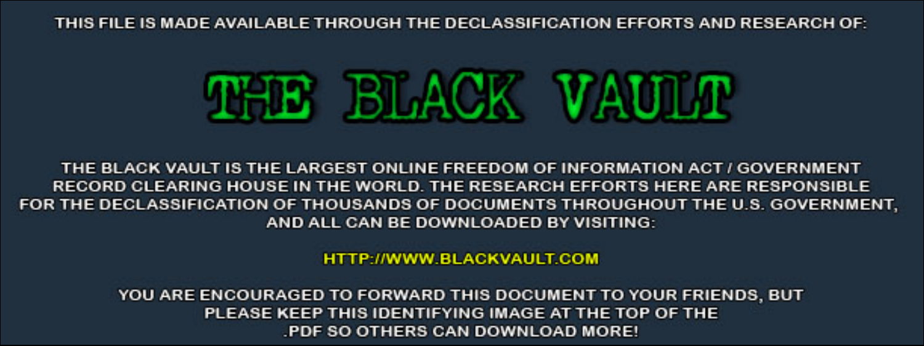THIS FILE IS MADE AVAILABLE THROUGH THE DECLASSIFICATION EFFORTS AND RESEARCH OF:



THE BLACK VAULT IS THE LARGEST ONLINE FREEDOM OF INFORMATION ACT / GOVERNMENT RECORD CLEARING HOUSE IN THE WORLD. THE RESEARCH EFFORTS HERE ARE RESPONSIBLE FOR THE DECLASSIFICATION OF THOUSANDS OF DOCUMENTS THROUGHOUT THE U.S. GOVERNMENT, AND ALL CAN BE DOWNLOADED BY VISITING:

**HTTP://WWW.BLACKVAULT.COM** 

YOU ARE ENCOURAGED TO FORWARD THIS DOCUMENT TO YOUR FRIENDS, BUT PLEASE KEEP THIS IDENTIFYING IMAGE AT THE TOP OF THE PDF SO OTHERS CAN DOWNLOAD MORE!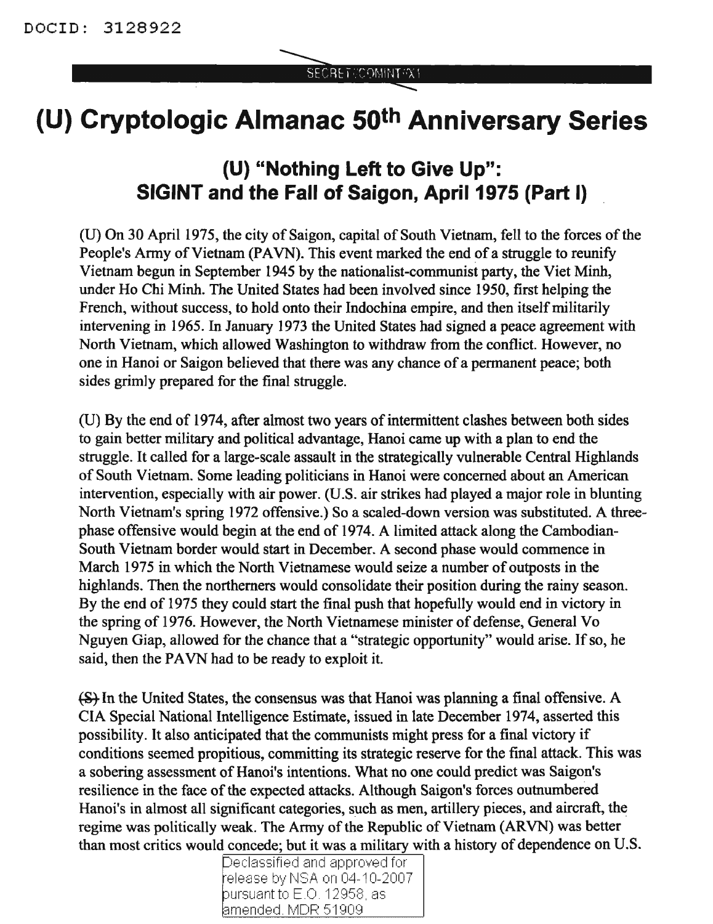## **(U) Cryptologic Almanac 50th Anniversary Series**

## **(U) "Nothing Left to Give Up": SIGINT and the Fall of Saigon, April 1975 (Part I)**

(U) On 30 April 1975, the city of Saigon, capital of South Vietnam, fell to the forces of the People's Army of Vietnam (PAVN). This event marked the end of a struggle to reunify Vietnam begun in September 1945 by the nationalist-communist party, the Viet Minh, under Ho Chi Minh. The United States had been involved since 1950, first helping the French, without success, to hold onto their Indochina empire, and then itself militarily intervening in 1965. In January 1973 the United States had signed a peace agreement with North Vietnam, which allowed Washington to withdraw from the conflict. However, no one in Hanoi or Saigon believed that there was any chance of a pennanent peace; both sides grimly prepared for the final struggle.

(U) By the end of 1974, after almost two years of intermittent clashes between both sides to gain better military and political advantage, Hanoi came up with a plan to end the struggle. It called for a large-scale assault in the strategically vulnerable Central Highlands of South Vietnam. Some leading politicians in Hanoi were concerned about an American intervention, especially with air power. (U.S. air strikes had played a major role in blunting North Vietnam's spring 1972 offensive.) So a scaled-down version was substituted. A threephase offensive would begin at the end of 1974. A limited attack along the Cambodian-South Vietnam border would start in December. A second phase would commence in March 1975 in which the North Vietnamese would seize a number of outposts in the highlands. Then the northerners would consolidate their position during the rainy season. By the end of 1975 they could start the final push that hopefully would end in victory in the spring of 1976. However, the North Vietnamese minister of defense, General Vo Nguyen Giap, allowed for the chance that a "strategic opportunity" would arise. If so, he said, then the PAVN had to be ready to exploit it.

(S) In the United States, the consensus was that Hanoi was planning a final offensive. A CIA Special National Intelligence Estimate, issued in late December 1974, asserted this possibility. It also anticipated that the communists might press for a final victory if conditions seemed propitious, committing its strategic reserve for the final attack. This was a sobering assessment of Hanoi's intentions. What no one could predict was Saigon's resilience in the face of the expected attacks. Although Saigon's forces outnumbered Hanoi's in almost all significant categories, such as men, artillery pieces, and aircraft, the regime was politically weak. The Army of the Republic of Vietnam (ARVN) was better than most critics would concede; but it was a military with a history of dependence on U.S.

Declassified and approved for release by NSA on 04-10-2007 pursuant to E.O. 12958, as amended. MDR 51909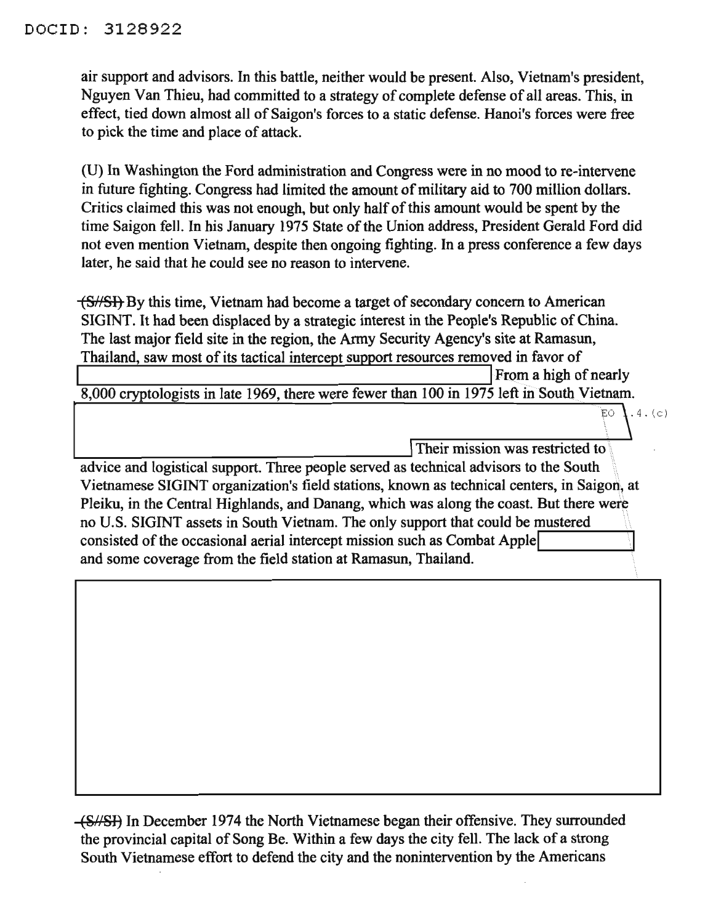air support and advisors. In this battle, neither would be present. Also, Vietnam's president, Nguyen Van Thieu, had committed to a strategy of complete defense of all areas. This, in effect, tied down almost all of Saigon's forces to a static defense. Hanoi's forces were free to pick the time and place of attack.

(U) In Washington the Ford administration and Congress were in no mood to re-intervene in future fighting. Congress had limited the amount of military aid to 700 million dollars. Critics claimed this was not enough, but only half of this amount would be spent by the time Saigon fell. In his January 1975 State of the Union address, President Gerald Ford did not even mention Vietnam, despite then ongoing fighting. In a press conference a few days later, he said that he could see no reason to intervene.

 $\sqrt{\frac{S}{S}}$  By this time, Vietnam had become a target of secondary concern to American SIGINT. It had been displaced by a strategic interest in the People's Republic of China. The last major field site in the region, the Army Security Agency's site at Ramasun, Thailand, saw most of its tactical intercept support resources removed in favor of

From a high of nearly

 $8,000$  cryptologists in late 1969, there were fewer than 100 in 1975 left in South Vietnam.

Their mission was restricted to

 $\frac{1}{\text{EVAL}}$ <br>  $\frac{1}{\text{EVAL}}$ <br>
advice and logistical support. Three people served as technical advisors to the South Vietnamese SIGINT organization's field stations, known as technical centers, in Saigon, at Pleiku, in the Central Highlands, and Danang, which was along the coast. But there were no U.S. SIGINT assets in South Vietnam. The only support that could be mustered consisted of the occasional aerial intercept mission such as Combat Apple and some coverage from the field station at Ramasun, Thailand.

(Sf/SI) In December 1974 the North Vietnamese began their offensive. They surrounded the provincial capital of Song Be. Within a few days the city fell. The lack of a strong South Vietnamese effort to defend the city and the nonintervention by the Americans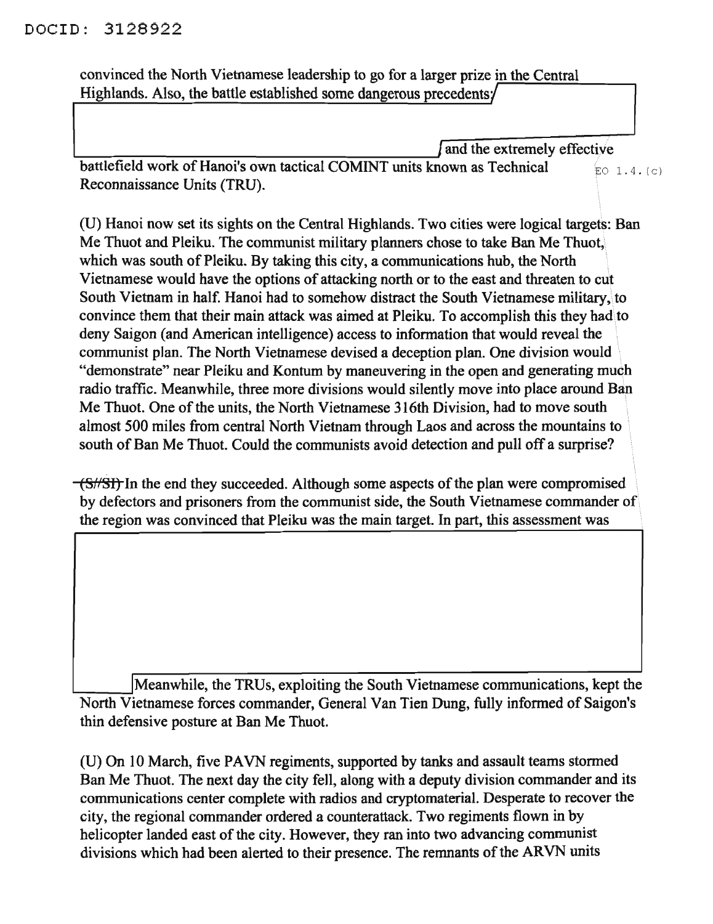convinced the North Vietnamese leadership to go for a larger prize in the Central Highlands. Also, the battle established some dangerous precedents/

 $\int$  and the extremely effective battlefield work of Hanoi's own tactical COMINT units known as Technical  $EO$  1.4. $(c)$ Reconnaissance Units (TRU).

(U) Hanoi now set its sights on the Central Highlands. Two cities were logical targets: Ban Me Thuot and Pleiku. The communist military planners chose to take Ban Me Thuot, which was south of Pleiku. By taking this city, a communications hub, the North Vietnamese would have the options of attacking north or to the east and threaten to cut South Vietnam in half. Hanoi had to somehow distract the South Vietnamese military, to convince them that their main attack was aimed at Pleiku. To accomplish this they had to deny Saigon (and American intelligence) access to information that would reveal the communist plan. The North Vietnamese devised a deception plan. One division would "demonstrate" near Pleiku and Kontum by maneuvering in the open and generating much radio traffic. Meanwhile, three more divisions would silently move into place around Ban Me Thuot. One of the units, the North Vietnamese 316th Division, had to move south almost 500 miles from central North Vietnam through Laos and across the mountains to . south of Ban Me Thuot. Could the communists avoid detection and pull off a surprise?

 $\sqrt{(S//ST)}$  In the end they succeeded. Although some aspects of the plan were compromised by defectors and prisoners from the communist side, the South Vietnamese commander of the region was convinced that Pleiku was the main target. In part, this assessment was

Meanwhile, the TRUs, exploiting the South Vietnamese communications, kept the North Vietnamese forces commander, General Van Tien Dung, fully informed of Saigon's thin defensive posture at Ban Me Thuot.

(U) On 10 March, five PAVN regiments, supported by tanks and assault teams stormed Ban Me Thuot. The next day the city fell, along with a deputy division commander and its communications center complete with radios and cryptomaterial. Desperate to recover the city, the regional commander ordered a counterattack. Two regiments flown in by helicopter landed east of the city. However, they ran into two advancing communist divisions which had been alerted to their presence. The remnants of the ARVN units